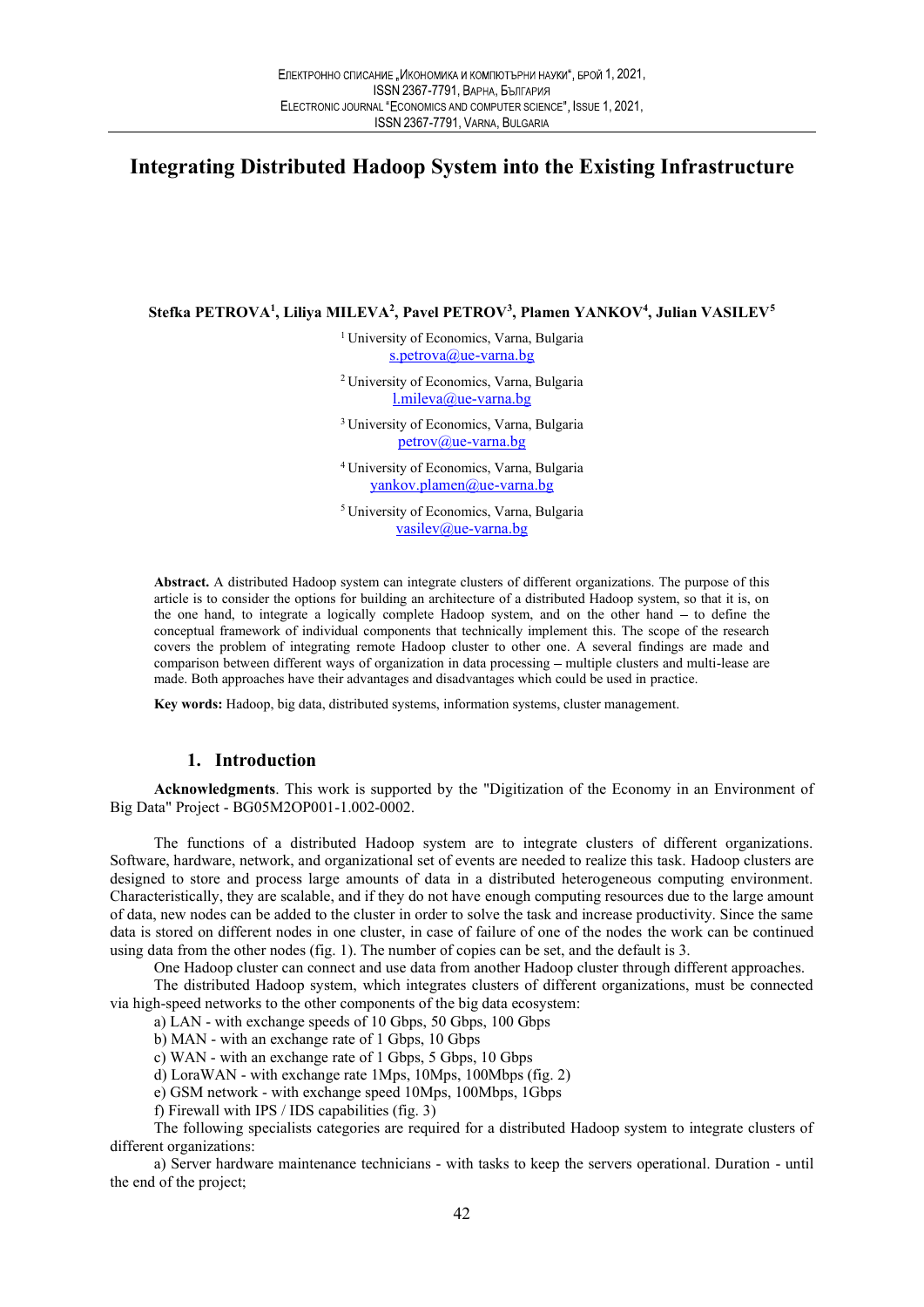# Integrating Distributed Hadoop System into the Existing Infrastructure

Stefka PETROVA<sup>1</sup>, Liliya MILEVA<sup>2</sup>, Pavel PETROV<sup>3</sup>, Plamen YANKOV<sup>4</sup>, Julian VASILEV<sup>5</sup>

<sup>1</sup>University of Economics, Varna, Bulgaria s.petrova@ue-varna.bg

<sup>2</sup>University of Economics, Varna, Bulgaria l.mileva@ue-varna.bg

<sup>3</sup> University of Economics, Varna, Bulgaria petrov@ue-varna.bg

<sup>4</sup>University of Economics, Varna, Bulgaria yankov.plamen@ue-varna.bg

<sup>5</sup>University of Economics, Varna, Bulgaria vasilev@ue-varna.bg

Abstract. A distributed Hadoop system can integrate clusters of different organizations. The purpose of this article is to consider the options for building an architecture of a distributed Hadoop system, so that it is, on the one hand, to integrate a logically complete Hadoop system, and on the other hand  $-$  to define the conceptual framework of individual components that technically implement this. The scope of the research covers the problem of integrating remote Hadoop cluster to other one. A several findings are made and comparison between different ways of organization in data processing - multiple clusters and multi-lease are made. Both approaches have their advantages and disadvantages which could be used in practice.

Key words: Hadoop, big data, distributed systems, information systems, cluster management.

## 1. Introduction

Acknowledgments. This work is supported by the "Digitization of the Economy in an Environment of Big Data" Project - BG05M2OP001-1.002-0002.

The functions of a distributed Hadoop system are to integrate clusters of different organizations. Software, hardware, network, and organizational set of events are needed to realize this task. Hadoop clusters are designed to store and process large amounts of data in a distributed heterogeneous computing environment. Characteristically, they are scalable, and if they do not have enough computing resources due to the large amount of data, new nodes can be added to the cluster in order to solve the task and increase productivity. Since the same data is stored on different nodes in one cluster, in case of failure of one of the nodes the work can be continued using data from the other nodes (fig. 1). The number of copies can be set, and the default is 3.

One Hadoop cluster can connect and use data from another Hadoop cluster through different approaches.

The distributed Hadoop system, which integrates clusters of different organizations, must be connected via high-speed networks to the other components of the big data ecosystem:

a) LAN - with exchange speeds of 10 Gbps, 50 Gbps, 100 Gbps

b) MAN - with an exchange rate of 1 Gbps, 10 Gbps

c) WAN - with an exchange rate of 1 Gbps, 5 Gbps, 10 Gbps

d) LoraWAN - with exchange rate 1Mps, 10Mps, 100Mbps (fig. 2)

e) GSM network - with exchange speed 10Mps, 100Mbps, 1Gbps

f) Firewall with IPS / IDS capabilities (fig. 3)

The following specialists categories are required for a distributed Hadoop system to integrate clusters of different organizations:

a) Server hardware maintenance technicians - with tasks to keep the servers operational. Duration - until the end of the project;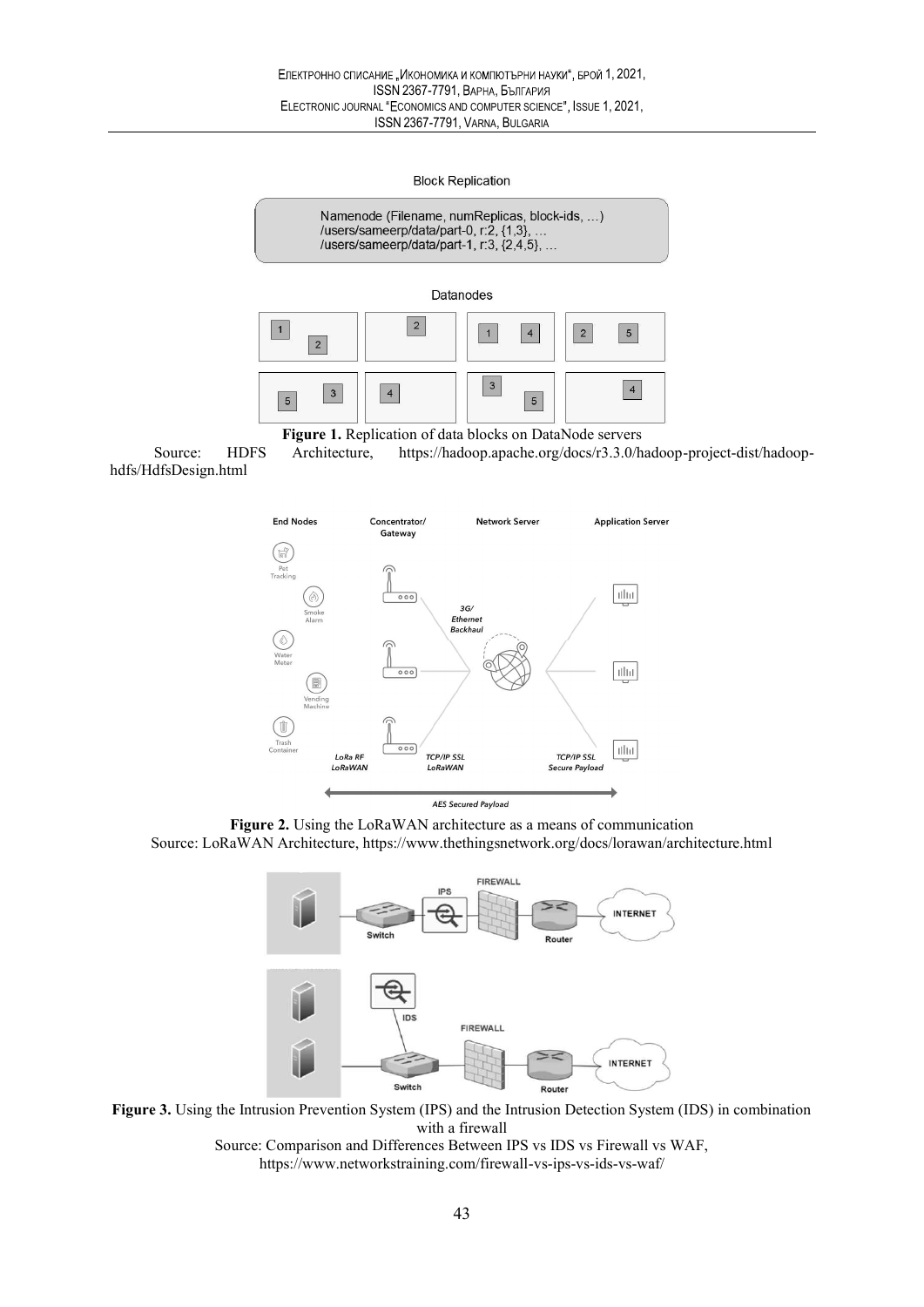#### **Block Replication**



Figure 1. Replication of data blocks on DataNode servers

Source: HDFS Architecture, https://hadoop.apache.org/docs/r3.3.0/hadoop-project-dist/hadoophdfs/HdfsDesign.html



Figure 2. Using the LoRaWAN architecture as a means of communication Source: LoRaWAN Architecture, https://www.thethingsnetwork.org/docs/lorawan/architecture.html



Figure 3. Using the Intrusion Prevention System (IPS) and the Intrusion Detection System (IDS) in combination with a firewall

Source: Comparison and Differences Between IPS vs IDS vs Firewall vs WAF, https://www.networkstraining.com/firewall-vs-ips-vs-ids-vs-waf/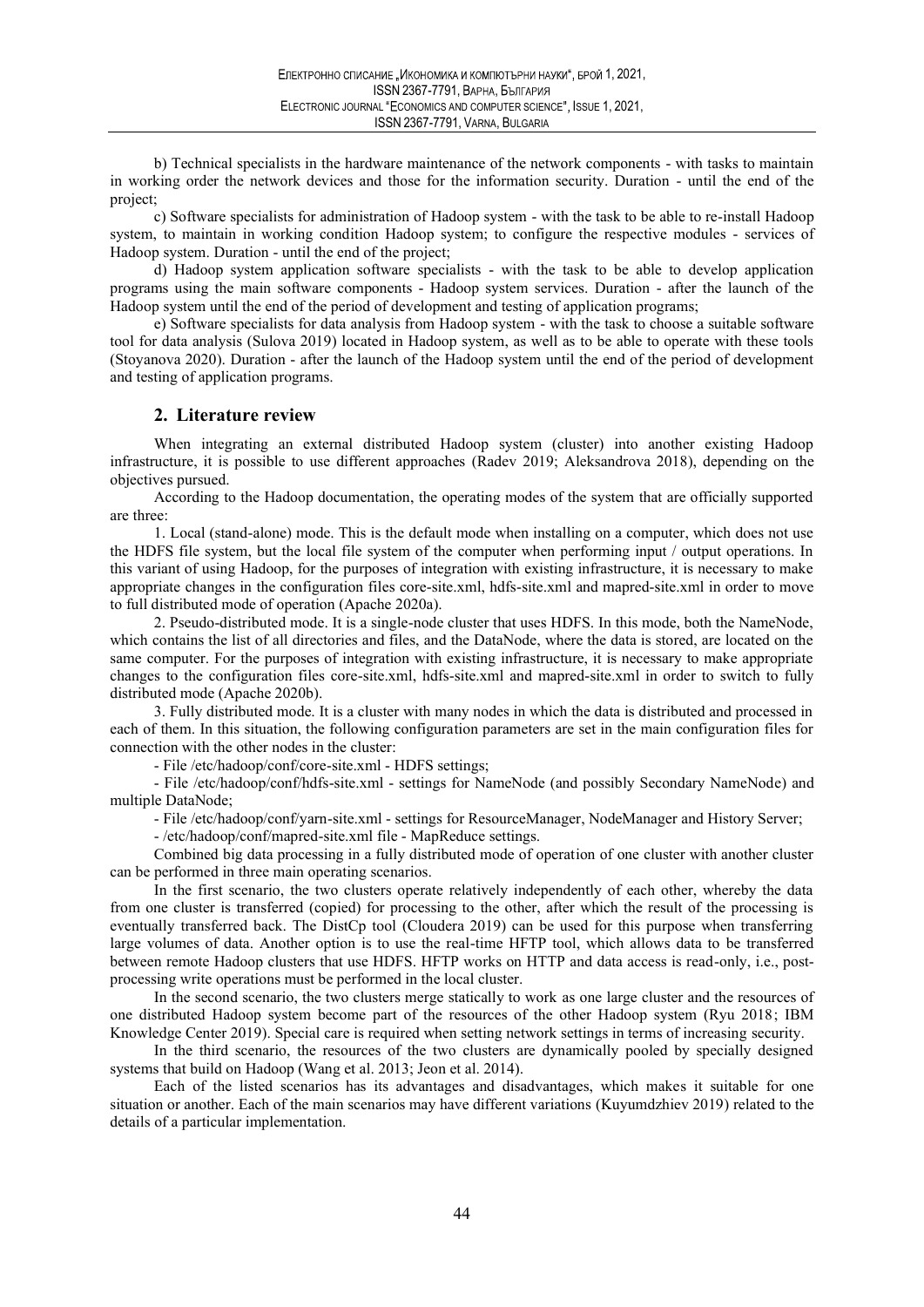b) Technical specialists in the hardware maintenance of the network components - with tasks to maintain in working order the network devices and those for the information security. Duration - until the end of the project;

c) Software specialists for administration of Hadoop system - with the task to be able to re-install Hadoop system, to maintain in working condition Hadoop system; to configure the respective modules - services of Hadoop system. Duration - until the end of the project;

d) Hadoop system application software specialists - with the task to be able to develop application programs using the main software components - Hadoop system services. Duration - after the launch of the Hadoop system until the end of the period of development and testing of application programs;

e) Software specialists for data analysis from Hadoop system - with the task to choose a suitable software tool for data analysis (Sulova 2019) located in Hadoop system, as well as to be able to operate with these tools (Stoyanova 2020). Duration - after the launch of the Hadoop system until the end of the period of development and testing of application programs.

## 2. Literature review

When integrating an external distributed Hadoop system (cluster) into another existing Hadoop infrastructure, it is possible to use different approaches (Radev 2019; Aleksandrova 2018), depending on the objectives pursued.

According to the Hadoop documentation, the operating modes of the system that are officially supported are three:

1. Local (stand-alone) mode. This is the default mode when installing on a computer, which does not use the HDFS file system, but the local file system of the computer when performing input / output operations. In this variant of using Hadoop, for the purposes of integration with existing infrastructure, it is necessary to make appropriate changes in the configuration files core-site.xml, hdfs-site.xml and mapred-site.xml in order to move to full distributed mode of operation (Apache 2020a).

2. Pseudo-distributed mode. It is a single-node cluster that uses HDFS. In this mode, both the NameNode, which contains the list of all directories and files, and the DataNode, where the data is stored, are located on the same computer. For the purposes of integration with existing infrastructure, it is necessary to make appropriate changes to the configuration files core-site.xml, hdfs-site.xml and mapred-site.xml in order to switch to fully distributed mode (Apache 2020b).

3. Fully distributed mode. It is a cluster with many nodes in which the data is distributed and processed in each of them. In this situation, the following configuration parameters are set in the main configuration files for connection with the other nodes in the cluster:

- File /etc/hadoop/conf/core-site.xml - HDFS settings;

- File /etc/hadoop/conf/hdfs-site.xml - settings for NameNode (and possibly Secondary NameNode) and multiple DataNode;

- File /etc/hadoop/conf/yarn-site.xml - settings for ResourceManager, NodeManager and History Server;

- /etc/hadoop/conf/mapred-site.xml file - MapReduce settings.

Combined big data processing in a fully distributed mode of operation of one cluster with another cluster can be performed in three main operating scenarios.

In the first scenario, the two clusters operate relatively independently of each other, whereby the data from one cluster is transferred (copied) for processing to the other, after which the result of the processing is eventually transferred back. The DistCp tool (Cloudera 2019) can be used for this purpose when transferring large volumes of data. Another option is to use the real-time HFTP tool, which allows data to be transferred between remote Hadoop clusters that use HDFS. HFTP works on HTTP and data access is read-only, i.e., postprocessing write operations must be performed in the local cluster.

In the second scenario, the two clusters merge statically to work as one large cluster and the resources of one distributed Hadoop system become part of the resources of the other Hadoop system (Ryu 2018; IBM Knowledge Center 2019). Special care is required when setting network settings in terms of increasing security.

In the third scenario, the resources of the two clusters are dynamically pooled by specially designed systems that build on Hadoop (Wang et al. 2013; Jeon et al. 2014).

Each of the listed scenarios has its advantages and disadvantages, which makes it suitable for one situation or another. Each of the main scenarios may have different variations (Kuyumdzhiev 2019) related to the details of a particular implementation.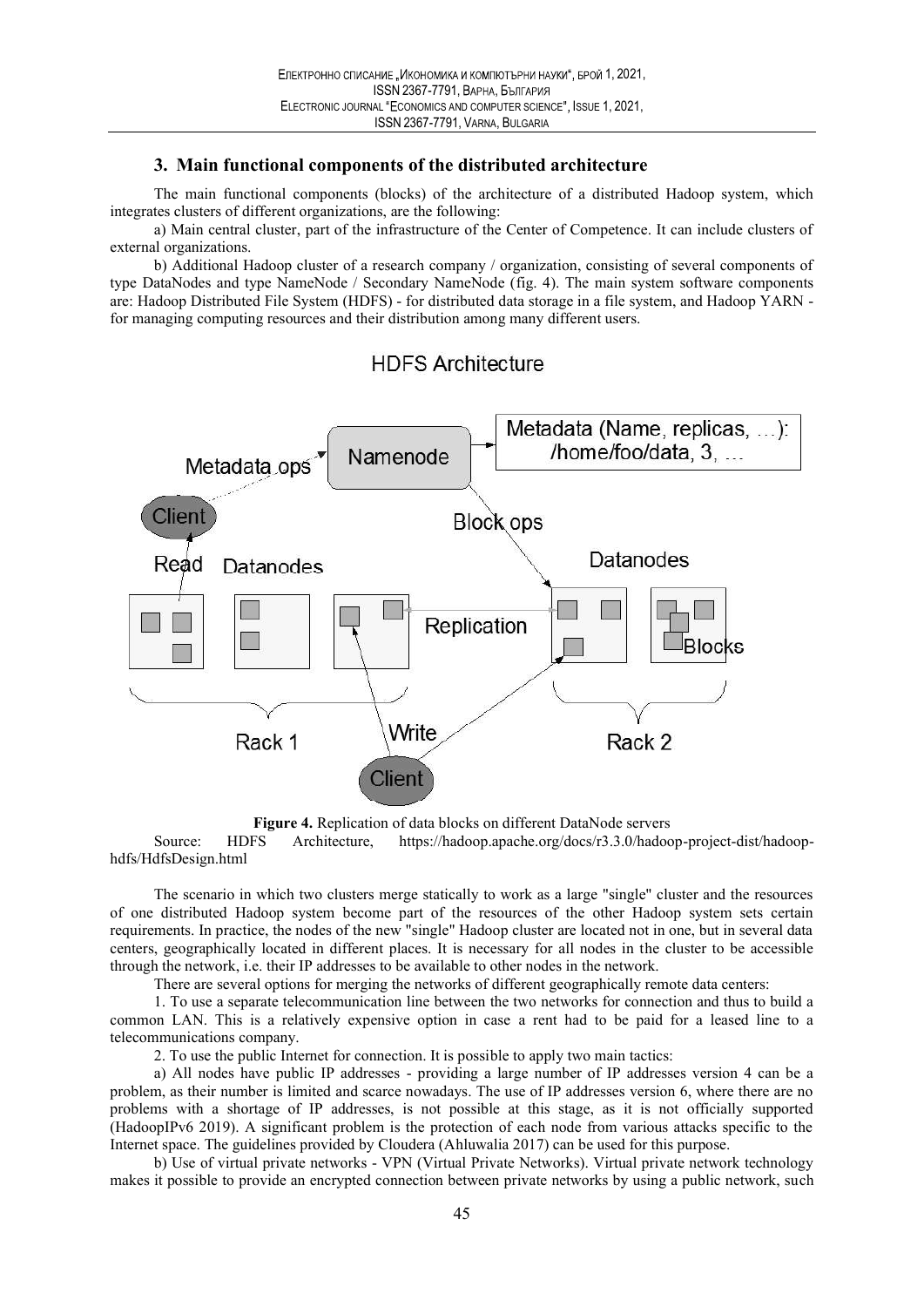# 3. Main functional components of the distributed architecture

The main functional components (blocks) of the architecture of a distributed Hadoop system, which integrates clusters of different organizations, are the following:

a) Main central cluster, part of the infrastructure of the Center of Competence. It can include clusters of external organizations.

b) Additional Hadoop cluster of a research company / organization, consisting of several components of type DataNodes and type NameNode / Secondary NameNode (fig. 4). The main system software components are: Hadoop Distributed File System (HDFS) - for distributed data storage in a file system, and Hadoop YARN for managing computing resources and their distribution among many different users.

# **HDFS Architecture**



Figure 4. Replication of data blocks on different DataNode servers

Source: HDFS Architecture, https://hadoop.apache.org/docs/r3.3.0/hadoop-project-dist/hadoophdfs/HdfsDesign.html

The scenario in which two clusters merge statically to work as a large "single" cluster and the resources of one distributed Hadoop system become part of the resources of the other Hadoop system sets certain requirements. In practice, the nodes of the new "single" Hadoop cluster are located not in one, but in several data centers, geographically located in different places. It is necessary for all nodes in the cluster to be accessible through the network, i.e. their IP addresses to be available to other nodes in the network.

There are several options for merging the networks of different geographically remote data centers:

1. To use a separate telecommunication line between the two networks for connection and thus to build a common LAN. This is a relatively expensive option in case a rent had to be paid for a leased line to a telecommunications company.

2. To use the public Internet for connection. It is possible to apply two main tactics:

a) All nodes have public IP addresses - providing a large number of IP addresses version 4 can be a problem, as their number is limited and scarce nowadays. The use of IP addresses version 6, where there are no problems with a shortage of IP addresses, is not possible at this stage, as it is not officially supported (HadoopIPv6 2019). A significant problem is the protection of each node from various attacks specific to the Internet space. The guidelines provided by Cloudera (Ahluwalia 2017) can be used for this purpose.

b) Use of virtual private networks - VPN (Virtual Private Networks). Virtual private network technology makes it possible to provide an encrypted connection between private networks by using a public network, such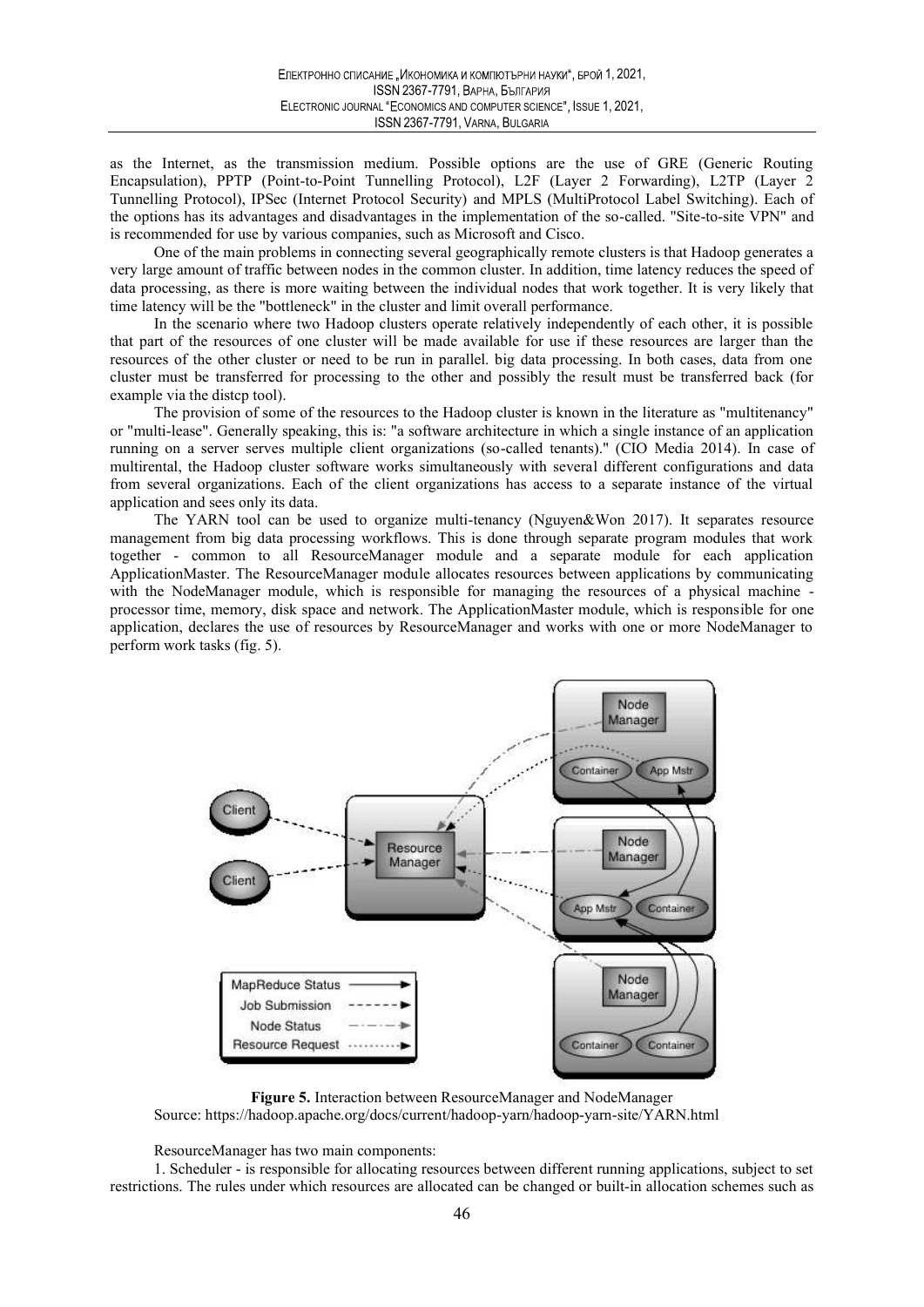1, 2021,<br>1, 2021,<br>use of GRE (Generic Routing) as the Internet, as the transmission medium. Possible options are the use of GRE (Generic Routing Encapsulation), PPTP (Point-to-Point Tunnelling Protocol), L2F (Layer 2 Forwarding), L2TP (Layer 2 Tunnelling Protocol), IPSec (Internet Protocol Security) and MPLS (MultiProtocol Label Switching). Each of the options has its advantages and disadvantages in the implementation of the so-called. "Site-to-site VPN" and is recommended for use by various companies, such as Microsoft and Cisco.

One of the main problems in connecting several geographically remote clusters is that Hadoop generates a very large amount of traffic between nodes in the common cluster. In addition, time latency reduces the speed of data processing, as there is more waiting between the individual nodes that work together. It is very likely that time latency will be the "bottleneck" in the cluster and limit overall performance.

In the scenario where two Hadoop clusters operate relatively independently of each other, it is possible that part of the resources of one cluster will be made available for use if these resources are larger than the resources of the other cluster or need to be run in parallel. big data processing. In both cases, data from one cluster must be transferred for processing to the other and possibly the result must be transferred back (for example via the distcp tool).

The provision of some of the resources to the Hadoop cluster is known in the literature as "multitenancy" or "multi-lease". Generally speaking, this is: "a software architecture in which a single instance of an application running on a server serves multiple client organizations (so-called tenants)." (CIO Media 2014). In case of multirental, the Hadoop cluster software works simultaneously with several different configurations and data from several organizations. Each of the client organizations has access to a separate instance of the virtual application and sees only its data.

The YARN tool can be used to organize multi-tenancy (Nguyen&Won 2017). It separates resource management from big data processing workflows. This is done through separate program modules that work together - common to all ResourceManager module and a separate module for each application ApplicationMaster. The ResourceManager module allocates resources between applications by communicating with the NodeManager module, which is responsible for managing the resources of a physical machine processor time, memory, disk space and network. The ApplicationMaster module, which is responsible for one application, declares the use of resources by ResourceManager and works with one or more NodeManager to perform work tasks (fig. 5).



Figure 5. Interaction between ResourceManager and NodeManager Source: https://hadoop.apache.org/docs/current/hadoop-yarn/hadoop-yarn-site/YARN.html

ResourceManager has two main components:

1. Scheduler - is responsible for allocating resources between different running applications, subject to set restrictions. The rules under which resources are allocated can be changed or built-in allocation schemes such as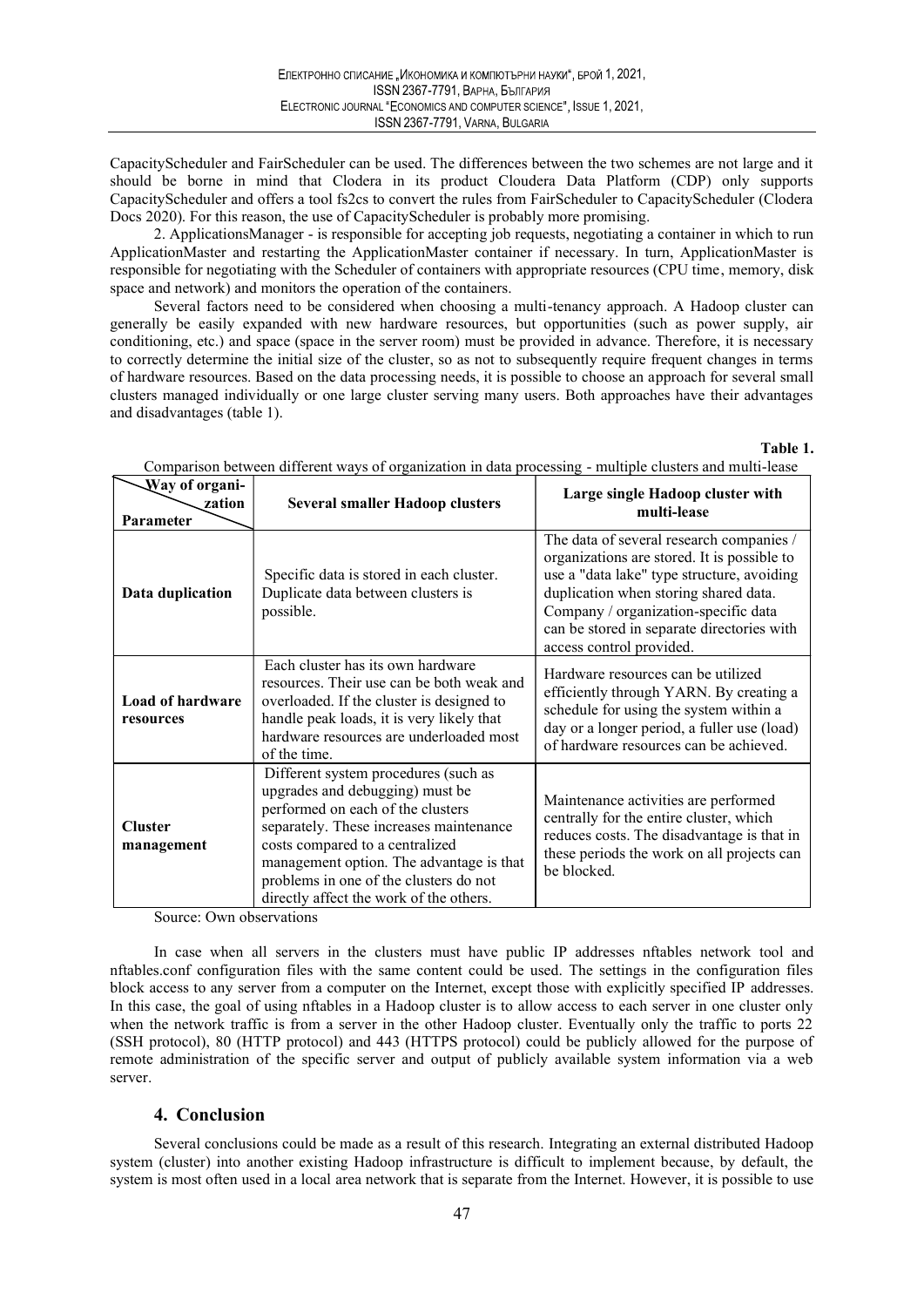CapacityScheduler and FairScheduler can be used. The differences between the two schemes are not large and it should be borne in mind that Clodera in its product Cloudera Data Platform (CDP) only supports CapacityScheduler and offers a tool fs2cs to convert the rules from FairScheduler to CapacityScheduler (Clodera Docs 2020). For this reason, the use of CapacityScheduler is probably more promising.

2. ApplicationsManager - is responsible for accepting job requests, negotiating a container in which to run ApplicationMaster and restarting the ApplicationMaster container if necessary. In turn, ApplicationMaster is responsible for negotiating with the Scheduler of containers with appropriate resources (CPU time, memory, disk space and network) and monitors the operation of the containers.

Several factors need to be considered when choosing a multi-tenancy approach. A Hadoop cluster can generally be easily expanded with new hardware resources, but opportunities (such as power supply, air conditioning, etc.) and space (space in the server room) must be provided in advance. Therefore, it is necessary to correctly determine the initial size of the cluster, so as not to subsequently require frequent changes in terms of hardware resources. Based on the data processing needs, it is possible to choose an approach for several small clusters managed individually or one large cluster serving many users. Both approaches have their advantages and disadvantages (table 1).

Table 1.

| Way of organi-<br>zation<br>Parameter | <b>Several smaller Hadoop clusters</b>                                                                                                                                                                                                                                                                                      | Large single Hadoop cluster with<br>multi-lease                                                                                                                                                                                                                                                  |
|---------------------------------------|-----------------------------------------------------------------------------------------------------------------------------------------------------------------------------------------------------------------------------------------------------------------------------------------------------------------------------|--------------------------------------------------------------------------------------------------------------------------------------------------------------------------------------------------------------------------------------------------------------------------------------------------|
| Data duplication                      | Specific data is stored in each cluster.<br>Duplicate data between clusters is<br>possible.                                                                                                                                                                                                                                 | The data of several research companies /<br>organizations are stored. It is possible to<br>use a "data lake" type structure, avoiding<br>duplication when storing shared data.<br>Company / organization-specific data<br>can be stored in separate directories with<br>access control provided. |
| <b>Load of hardware</b><br>resources  | Each cluster has its own hardware<br>resources. Their use can be both weak and<br>overloaded. If the cluster is designed to<br>handle peak loads, it is very likely that<br>hardware resources are underloaded most<br>of the time.                                                                                         | Hardware resources can be utilized<br>efficiently through YARN. By creating a<br>schedule for using the system within a<br>day or a longer period, a fuller use (load)<br>of hardware resources can be achieved.                                                                                 |
| <b>Cluster</b><br>management          | Different system procedures (such as<br>upgrades and debugging) must be<br>performed on each of the clusters<br>separately. These increases maintenance<br>costs compared to a centralized<br>management option. The advantage is that<br>problems in one of the clusters do not<br>directly affect the work of the others. | Maintenance activities are performed<br>centrally for the entire cluster, which<br>reduces costs. The disadvantage is that in<br>these periods the work on all projects can<br>be blocked.                                                                                                       |

Comparison between different ways of organization in data processing - multiple clusters and multi-lease

Source: Own observations

In case when all servers in the clusters must have public IP addresses nftables network tool and nftables.conf configuration files with the same content could be used. The settings in the configuration files block access to any server from a computer on the Internet, except those with explicitly specified IP addresses. In this case, the goal of using nftables in a Hadoop cluster is to allow access to each server in one cluster only when the network traffic is from a server in the other Hadoop cluster. Eventually only the traffic to ports 22 (SSH protocol), 80 (HTTP protocol) and 443 (HTTPS protocol) could be publicly allowed for the purpose of remote administration of the specific server and output of publicly available system information via a web server.

# 4. Conclusion

Several conclusions could be made as a result of this research. Integrating an external distributed Hadoop system (cluster) into another existing Hadoop infrastructure is difficult to implement because, by default, the system is most often used in a local area network that is separate from the Internet. However, it is possible to use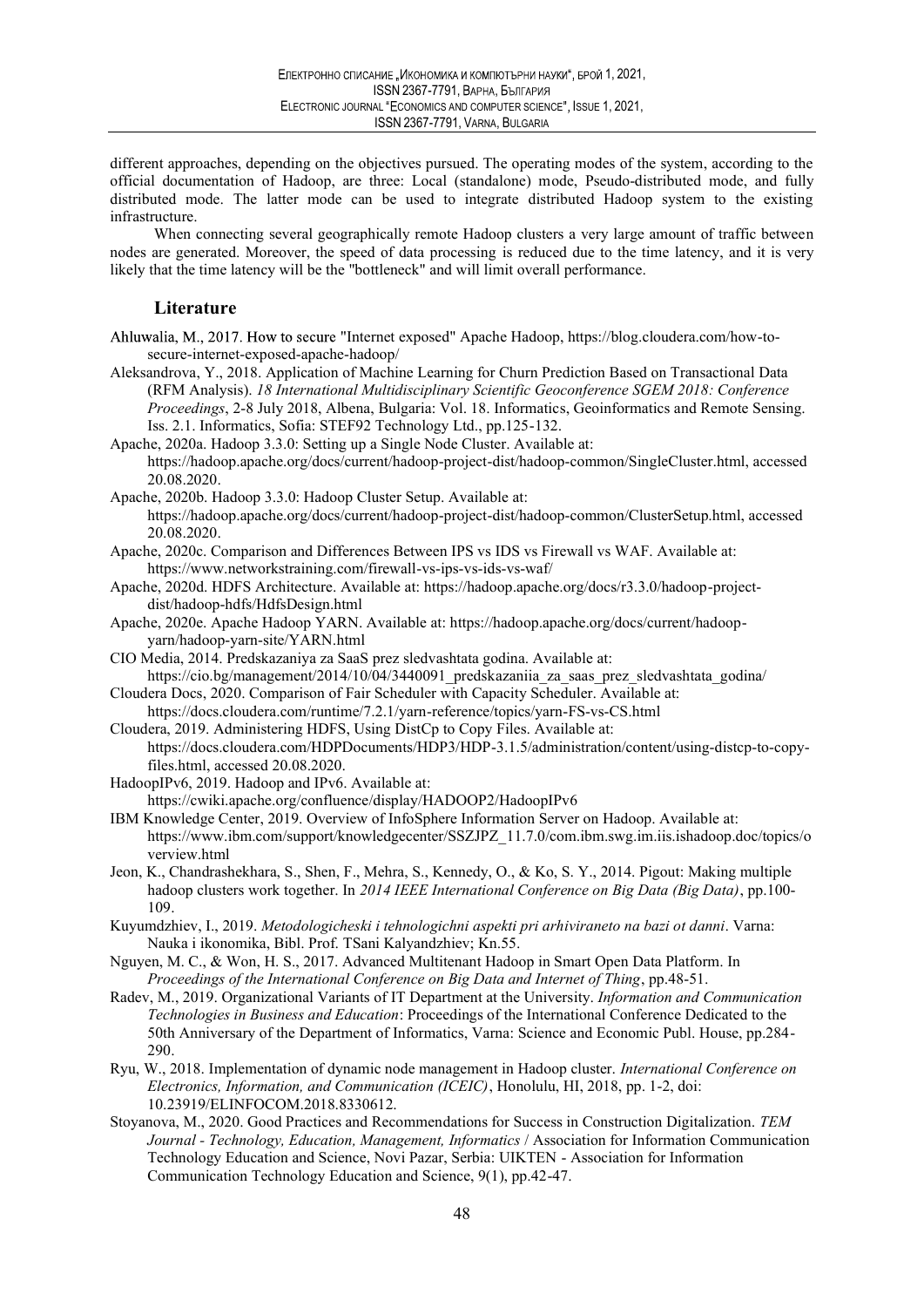different approaches, depending on the objectives pursued. The operating modes of the system, according to the official documentation of Hadoop, are three: Local (standalone) mode, Pseudo-distributed mode, and fully distributed mode. The latter mode can be used to integrate distributed Hadoop system to the existing infrastructure.

When connecting several geographically remote Hadoop clusters a very large amount of traffic between nodes are generated. Moreover, the speed of data processing is reduced due to the time latency, and it is very likely that the time latency will be the "bottleneck" and will limit overall performance.

### Literature

- Ahluwalia, M., 2017. How to secure "Internet exposed" Apache Hadoop, https://blog.cloudera.com/how-tosecure-internet-exposed-apache-hadoop/
- Aleksandrova, Y., 2018. Application of Machine Learning for Churn Prediction Based on Transactional Data (RFM Analysis). 18 International Multidisciplinary Scientific Geoconference SGEM 2018: Conference Proceedings, 2-8 July 2018, Albena, Bulgaria: Vol. 18. Informatics, Geoinformatics and Remote Sensing. Iss. 2.1. Informatics, Sofia: STEF92 Technology Ltd., pp.125-132.
- Apache, 2020a. Hadoop 3.3.0: Setting up a Single Node Cluster. Available at: https://hadoop.apache.org/docs/current/hadoop-project-dist/hadoop-common/SingleCluster.html, accessed 20.08.2020.
- Apache, 2020b. Hadoop 3.3.0: Hadoop Cluster Setup. Available at: https://hadoop.apache.org/docs/current/hadoop-project-dist/hadoop-common/ClusterSetup.html, accessed 20.08.2020.
- Apache, 2020c. Comparison and Differences Between IPS vs IDS vs Firewall vs WAF. Available at: https://www.networkstraining.com/firewall-vs-ips-vs-ids-vs-waf/
- Apache, 2020d. HDFS Architecture. Available at: https://hadoop.apache.org/docs/r3.3.0/hadoop-projectdist/hadoop-hdfs/HdfsDesign.html
- Apache, 2020e. Apache Hadoop YARN. Available at: https://hadoop.apache.org/docs/current/hadoopyarn/hadoop-yarn-site/YARN.html
- CIO Media, 2014. Predskazaniya za SaaS prez sledvashtata godina. Available at: https://cio.bg/management/2014/10/04/3440091 predskazaniia za saas prez sledvashtata godina/
- Cloudera Docs, 2020. Comparison of Fair Scheduler with Capacity Scheduler. Available at: https://docs.cloudera.com/runtime/7.2.1/yarn-reference/topics/yarn-FS-vs-CS.html
- Cloudera, 2019. Administering HDFS, Using DistCp to Copy Files. Available at: https://docs.cloudera.com/HDPDocuments/HDP3/HDP-3.1.5/administration/content/using-distcp-to-copyfiles.html, accessed 20.08.2020.
- HadoopIPv6, 2019. Hadoop and IPv6. Available at:
- https://cwiki.apache.org/confluence/display/HADOOP2/HadoopIPv6
- IBM Knowledge Center, 2019. Overview of InfoSphere Information Server on Hadoop. Available at: https://www.ibm.com/support/knowledgecenter/SSZJPZ\_11.7.0/com.ibm.swg.im.iis.ishadoop.doc/topics/o verview.html
- Jeon, K., Chandrashekhara, S., Shen, F., Mehra, S., Kennedy, O., & Ko, S. Y., 2014. Pigout: Making multiple hadoop clusters work together. In 2014 IEEE International Conference on Big Data (Big Data), pp.100-109.
- Kuyumdzhiev, I., 2019. Metodologicheski i tehnologichni aspekti pri arhiviraneto na bazi ot danni. Varna: Nauka i ikonomika, Bibl. Prof. TSani Kalyandzhiev; Kn.55.
- Nguyen, M. C., & Won, H. S., 2017. Advanced Multitenant Hadoop in Smart Open Data Platform. In Proceedings of the International Conference on Big Data and Internet of Thing, pp.48-51.
- Radev, M., 2019. Organizational Variants of IT Department at the University. Information and Communication Technologies in Business and Education: Proceedings of the International Conference Dedicated to the 50th Anniversary of the Department of Informatics, Varna: Science and Economic Publ. House, pp.284- 290.
- Ryu, W., 2018. Implementation of dynamic node management in Hadoop cluster. International Conference on Electronics, Information, and Communication (ICEIC), Honolulu, HI, 2018, pp. 1-2, doi: 10.23919/ELINFOCOM.2018.8330612.
- Stoyanova, M., 2020. Good Practices and Recommendations for Success in Construction Digitalization. TEM Journal - Technology, Education, Management, Informatics / Association for Information Communication Technology Education and Science, Novi Pazar, Serbia: UIKTEN - Association for Information Communication Technology Education and Science, 9(1), pp.42-47.